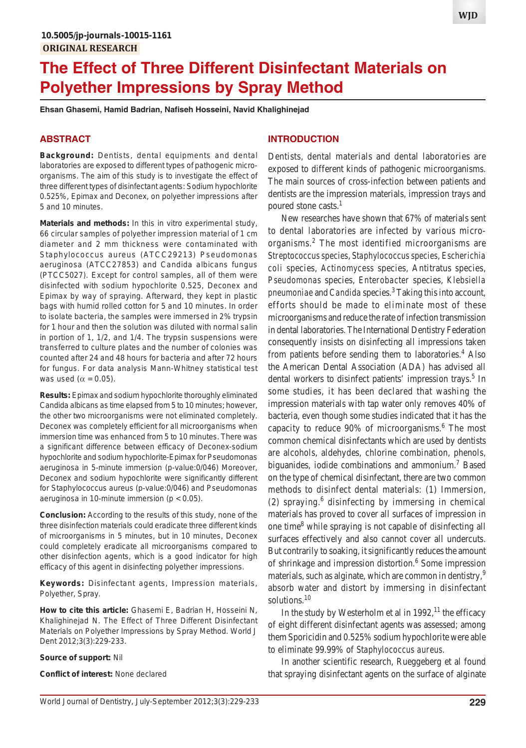# **The Effect of Three Different Disinfectant Materials on Polyether Impressions by Spray Method**

**Ehsan Ghasemi, Hamid Badrian, Nafiseh Hosseini, Navid Khalighinejad**

#### **ABSTRACT**

**Background:** Dentists, dental equipments and dental laboratories are exposed to different types of pathogenic microorganisms. The aim of this study is to investigate the effect of three different types of disinfectant agents: Sodium hypochlorite 0.525%, Epimax and Deconex, on polyether impressions after 5 and 10 minutes.

**Materials and methods:** In this *in vitro* experimental study, 66 circular samples of polyether impression material of 1 cm diameter and 2 mm thickness were contaminated with *Staphylococcus aureus* (ATCC29213) *Pseudomonas aeruginosa* (ATCC27853) and *Candida albicans* fungus (PTCC5027). Except for control samples, all of them were disinfected with sodium hypochlorite 0.525, Deconex and Epimax by way of spraying. Afterward, they kept in plastic bags with humid rolled cotton for 5 and 10 minutes. In order to isolate bacteria, the samples were immersed in 2% trypsin for 1 hour and then the solution was diluted with normal salin in portion of 1, 1/2, and 1/4. The trypsin suspensions were transferred to culture plates and the number of colonies was counted after 24 and 48 hours for bacteria and after 72 hours for fungus. For data analysis Mann-Whitney statistical test was used ( $\alpha = 0.05$ ).

**Results:** Epimax and sodium hypochlorite thoroughly eliminated *Candida albicans* as time elapsed from 5 to 10 minutes; however, the other two microorganisms were not eliminated completely. Deconex was completely efficient for all microorganisms when immersion time was enhanced from 5 to 10 minutes. There was a significant difference between efficacy of Deconex-sodium hypochlorite and sodium hypochlorite-Epimax for *Pseudomonas aeruginosa* in 5-minute immersion (p-value:0/046) Moreover, Deconex and sodium hypochlorite were significantly different for *Staphylococcus aureus* (p-value:0/046) and *Pseudomonas aeruginosa* in 10-minute immersion (p < 0.05).

**Conclusion:** According to the results of this study, none of the three disinfection materials could eradicate three different kinds of microorganisms in 5 minutes, but in 10 minutes, Deconex could completely eradicate all microorganisms compared to other disinfection agents, which is a good indicator for high efficacy of this agent in disinfecting polyether impressions.

**Keywords:** Disinfectant agents, Impression materials, Polyether, Spray.

**How to cite this article:** Ghasemi E, Badrian H, Hosseini N, Khalighinejad N. The Effect of Three Different Disinfectant Materials on Polyether Impressions by Spray Method. World J Dent 2012;3(3):229-233.

**Source of support:** Nil

**Conflict of interest:** None declared

### **INTRODUCTION**

Dentists, dental materials and dental laboratories are exposed to different kinds of pathogenic microorganisms. The main sources of cross-infection between patients and dentists are the impression materials, impression trays and poured stone casts. $<sup>1</sup>$ </sup>

New researches have shown that 67% of materials sent to dental laboratories are infected by various microorganisms.<sup>2</sup> The most identified microorganisms are *Streptococcus species*, *Staphylococcus species*, *Escherichia coli* species, *Actinomycess* species, Antitratus species, *Pseudomonas* species, *Enterobacter* species, *Klebsiella pneumoniae* and *Candida* species.3 Taking this into account, efforts should be made to eliminate most of these microorganisms and reduce the rate of infection transmission in dental laboratories. The International Dentistry Federation consequently insists on disinfecting all impressions taken from patients before sending them to laboratories.<sup>4</sup> Also the American Dental Association (ADA) has advised all dental workers to disinfect patients' impression trays.<sup>5</sup> In some studies, it has been declared that washing the impression materials with tap water only removes 40% of bacteria, even though some studies indicated that it has the capacity to reduce 90% of microorganisms.<sup>6</sup> The most common chemical disinfectants which are used by dentists are alcohols, aldehydes, chlorine combination, phenols, biguanides, iodide combinations and ammonium.<sup>7</sup> Based on the type of chemical disinfectant, there are two common methods to disinfect dental materials: (1) Immersion,  $(2)$  spraying.<sup>6</sup> disinfecting by immersing in chemical materials has proved to cover all surfaces of impression in one time<sup>8</sup> while spraying is not capable of disinfecting all surfaces effectively and also cannot cover all undercuts. But contrarily to soaking, it significantly reduces the amount of shrinkage and impression distortion.<sup>6</sup> Some impression materials, such as alginate, which are common in dentistry,<sup>9</sup> absorb water and distort by immersing in disinfectant solutions.<sup>10</sup>

In the study by Westerholm et al in  $1992$ ,<sup>11</sup> the efficacy of eight different disinfectant agents was assessed; among them Sporicidin and 0.525% sodium hypochlorite were able to eliminate 99.99% of *Staphylococcus aureus*.

In another scientific research, Rueggeberg et al found that spraying disinfectant agents on the surface of alginate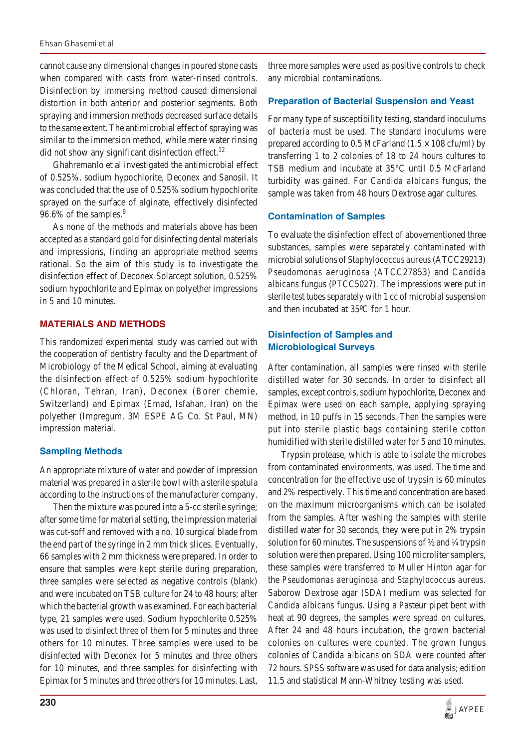#### *Ehsan Ghasemi et al*

cannot cause any dimensional changes in poured stone casts when compared with casts from water-rinsed controls. Disinfection by immersing method caused dimensional distortion in both anterior and posterior segments. Both spraying and immersion methods decreased surface details to the same extent. The antimicrobial effect of spraying was similar to the immersion method, while mere water rinsing did not show any significant disinfection effect. $^{12}$ 

Ghahremanlo et al investigated the antimicrobial effect of 0.525%, sodium hypochlorite, Deconex and Sanosil. It was concluded that the use of 0.525% sodium hypochlorite sprayed on the surface of alginate, effectively disinfected 96.6% of the samples.<sup>9</sup>

As none of the methods and materials above has been accepted as a standard gold for disinfecting dental materials and impressions, finding an appropriate method seems rational. So the aim of this study is to investigate the disinfection effect of Deconex Solarcept solution, 0.525% sodium hypochlorite and Epimax on polyether impressions in 5 and 10 minutes.

## **MATERIALS AND METHODS**

This randomized experimental study was carried out with the cooperation of dentistry faculty and the Department of Microbiology of the Medical School, aiming at evaluating the disinfection effect of 0.525% sodium hypochlorite (Chloran, Tehran, Iran), Deconex (Borer chemie, Switzerland) and Epimax (Emad, Isfahan, Iran) on the polyether (Impregum, 3M ESPE AG Co. St Paul, MN) impression material.

## **Sampling Methods**

An appropriate mixture of water and powder of impression material was prepared in a sterile bowl with a sterile spatula according to the instructions of the manufacturer company.

Then the mixture was poured into a 5-cc sterile syringe; after some time for material setting, the impression material was cut-soff and removed with a no. 10 surgical blade from the end part of the syringe in 2 mm thick slices. Eventually, 66 samples with 2 mm thickness were prepared. In order to ensure that samples were kept sterile during preparation, three samples were selected as negative controls (blank) and were incubated on TSB culture for 24 to 48 hours; after which the bacterial growth was examined. For each bacterial type, 21 samples were used. Sodium hypochlorite 0.525% was used to disinfect three of them for 5 minutes and three others for 10 minutes. Three samples were used to be disinfected with Deconex for 5 minutes and three others for 10 minutes, and three samples for disinfecting with Epimax for 5 minutes and three others for 10 minutes. Last,

three more samples were used as positive controls to check any microbial contaminations.

## **Preparation of Bacterial Suspension and Yeast**

For many type of susceptibility testing, standard inoculums of bacteria must be used. The standard inoculums were prepared according to 0.5 McFarland ( $1.5 \times 108$  cfu/ml) by transferring 1 to 2 colonies of 18 to 24 hours cultures to TSB medium and incubate at 35°C until 0.5 McFarland turbidity was gained. For *Candida albicans* fungus, the sample was taken from 48 hours Dextrose agar cultures.

## **Contamination of Samples**

To evaluate the disinfection effect of abovementioned three substances, samples were separately contaminated with microbial solutions of *Staphylococcus aureus* (ATCC29213) *Pseudomonas aeruginosa* (ATCC27853) and *Candida albicans* fungus (PTCC5027). The impressions were put in sterile test tubes separately with 1 cc of microbial suspension and then incubated at 35ºC for 1 hour.

# **Disinfection of Samples and Microbiological Surveys**

After contamination, all samples were rinsed with sterile distilled water for 30 seconds. In order to disinfect all samples, except controls, sodium hypochlorite, Deconex and Epimax were used on each sample, applying spraying method, in 10 puffs in 15 seconds. Then the samples were put into sterile plastic bags containing sterile cotton humidified with sterile distilled water for 5 and 10 minutes.

Trypsin protease, which is able to isolate the microbes from contaminated environments, was used. The time and concentration for the effective use of trypsin is 60 minutes and 2% respectively. This time and concentration are based on the maximum microorganisms which can be isolated from the samples. After washing the samples with sterile distilled water for 30 seconds, they were put in 2% trypsin solution for 60 minutes. The suspensions of  $\frac{1}{2}$  and  $\frac{1}{4}$  trypsin solution were then prepared. Using 100 microliter samplers, these samples were transferred to Muller Hinton agar for the *Pseudomonas aeruginosa* and *Staphylococcus aureus*. Saborow Dextrose agar (SDA) medium was selected for *Candida albicans* fungus. Using a Pasteur pipet bent with heat at 90 degrees, the samples were spread on cultures. After 24 and 48 hours incubation, the grown bacterial colonies on cultures were counted. The grown fungus colonies of *Candida albicans* on SDA were counted after 72 hours. SPSS software was used for data analysis; edition 11.5 and statistical Mann-Whitney testing was used.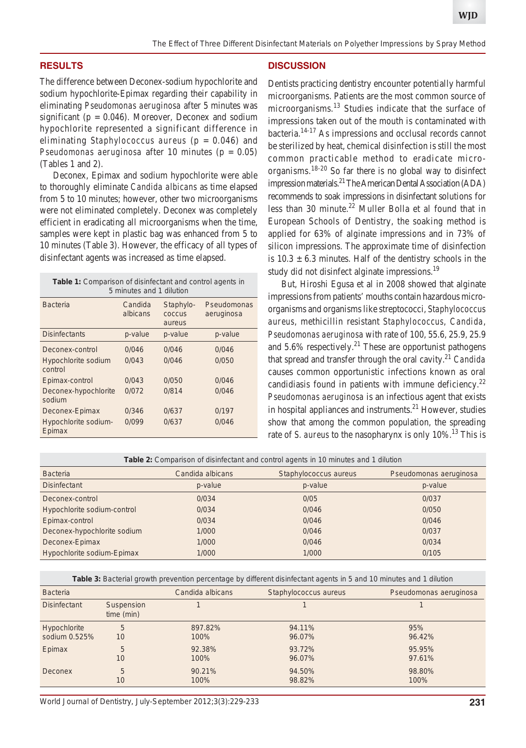## **RESULTS**

The difference between Deconex-sodium hypochlorite and sodium hypochlorite-Epimax regarding their capability in eliminating *Pseudomonas aeruginosa* after 5 minutes was significant ( $p = 0.046$ ). Moreover, Deconex and sodium hypochlorite represented a significant difference in eliminating *Staphylococcus aureus* (p = 0.046) and *Pseudomonas aeruginosa* after 10 minutes (p = 0.05) (Tables 1 and 2).

Deconex, Epimax and sodium hypochlorite were able to thoroughly eliminate *Candida albicans* as time elapsed from 5 to 10 minutes; however, other two microorganisms were not eliminated completely. Deconex was completely efficient in eradicating all microorganisms when the time, samples were kept in plastic bag was enhanced from 5 to 10 minutes (Table 3). However, the efficacy of all types of disinfectant agents was increased as time elapsed.

| <b>Table 1:</b> Comparison of disinfectant and control agents in |
|------------------------------------------------------------------|
| 5 minutes and 1 dilution                                         |

| <b>Bacteria</b>                | Candida<br>albicans | Staphylo-<br><b>COCCUS</b><br>aureus | Pseudomonas<br>aeruginosa |
|--------------------------------|---------------------|--------------------------------------|---------------------------|
| <b>Disinfectants</b>           | p-value             | p-value                              | p-value                   |
| Deconex-control                | 0/046               | 0/046                                | 0/046                     |
| Hypochlorite sodium<br>control | 0/043               | 0/046                                | 0/050                     |
| Epimax-control                 | 0/043               | 0/050                                | 0/046                     |
| Deconex-hypochlorite<br>sodium | 0/072               | 0/814                                | 0/046                     |
| Deconex-Epimax                 | 0/346               | 0/637                                | 0/197                     |
| Hypochlorite sodium-<br>Epimax | 0/099               | 0/637                                | 0/046                     |

## **DISCUSSION**

Dentists practicing dentistry encounter potentially harmful microorganisms. Patients are the most common source of microorganisms.<sup>13</sup> Studies indicate that the surface of impressions taken out of the mouth is contaminated with bacteria.14-17 As impressions and occlusal records cannot be sterilized by heat, chemical disinfection is still the most common practicable method to eradicate microorganisms.18-20 So far there is no global way to disinfect impression materials.21 The American Dental Association (ADA) recommends to soak impressions in disinfectant solutions for less than 30 minute. $^{22}$  Muller Bolla et al found that in European Schools of Dentistry, the soaking method is applied for 63% of alginate impressions and in 73% of silicon impressions. The approximate time of disinfection is  $10.3 \pm 6.3$  minutes. Half of the dentistry schools in the study did not disinfect alginate impressions.<sup>19</sup>

But, Hiroshi Egusa et al in 2008 showed that alginate impressions from patients' mouths contain hazardous microorganisms and organisms like streptococci, *Staphylococcus aureus*, methicillin resistant *Staphylococcus*, *Candida*, *Pseudomonas aeruginosa* with rate of 100, 55.6, 25.9, 25.9 and  $5.6\%$  respectively.<sup>21</sup> These are opportunist pathogens that spread and transfer through the oral cavity.21 *Candida* causes common opportunistic infections known as oral candidiasis found in patients with immune deficiency.<sup>22</sup> *Pseudomonas aeruginosa* is an infectious agent that exists in hospital appliances and instruments. $21$  However, studies show that among the common population, the spreading rate of *S. aureus* to the nasopharynx is only 10%.<sup>13</sup> This is

**Table 2:** Comparison of disinfectant and control agents in 10 minutes and 1 dilution

| <b>Bacteria</b>             | Candida albicans | Staphylococcus aureus | Pseudomonas aeruginosa |
|-----------------------------|------------------|-----------------------|------------------------|
| <b>Disinfectant</b>         | p-value          | p-value               | p-value                |
| Deconex-control             | 0/034            | 0/05                  | 0/037                  |
| Hypochlorite sodium-control | 0/034            | 0/046                 | 0/050                  |
| Epimax-control              | 0/034            | 0/046                 | 0/046                  |
| Deconex-hypochlorite sodium | 1/000            | 0/046                 | 0/037                  |
| Deconex-Epimax              | 1/000            | 0/046                 | 0/034                  |
| Hypochlorite sodium-Epimax  | 1/000            | 1/000                 | 0/105                  |

**Table 3:** Bacterial growth prevention percentage by different disinfectant agents in 5 and 10 minutes and 1 dilution

| <b>Bacteria</b>     |                          | Candida albicans | Staphylococcus aureus | Pseudomonas aeruginosa |
|---------------------|--------------------------|------------------|-----------------------|------------------------|
| <b>Disinfectant</b> | Suspension<br>time (min) |                  |                       |                        |
| Hypochlorite        | 5                        | 897.82%          | 94.11%                | 95%                    |
| sodium 0.525%       | 10                       | 100%             | 96.07%                | 96.42%                 |
| Epimax              | 5                        | 92.38%           | 93.72%                | 95.95%                 |
|                     | 10                       | 100%             | 96.07%                | 97.61%                 |
| Deconex             | 5                        | 90.21%           | 94.50%                | 98.80%                 |
|                     | 10                       | 100%             | 98.82%                | 100%                   |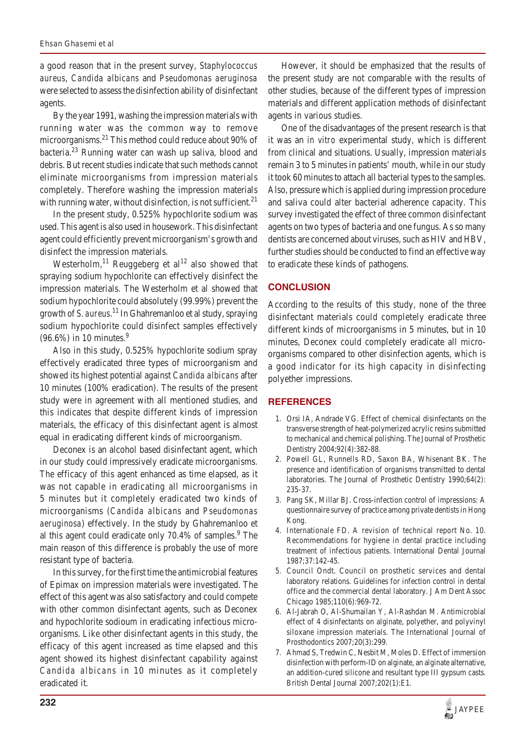a good reason that in the present survey, *Staphylococcus aureus*, *Candida albicans* and *Pseudomonas aeruginosa* were selected to assess the disinfection ability of disinfectant agents.

By the year 1991, washing the impression materials with running water was the common way to remove microorganisms.<sup>21</sup> This method could reduce about 90% of bacteria.23 Running water can wash up saliva, blood and debris. But recent studies indicate that such methods cannot eliminate microorganisms from impression materials completely. Therefore washing the impression materials with running water, without disinfection, is not sufficient. $21$ 

In the present study, 0.525% hypochlorite sodium was used. This agent is also used in housework. This disinfectant agent could efficiently prevent microorganism's growth and disinfect the impression materials.

Westerholm,<sup>11</sup> Reuggeberg et al<sup>12</sup> also showed that spraying sodium hypochlorite can effectively disinfect the impression materials. The Westerholm et al showed that sodium hypochlorite could absolutely (99.99%) prevent the growth of *S. aureus*. 11 In Ghahremanloo et al study, spraying sodium hypochlorite could disinfect samples effectively  $(96.6\%)$  in 10 minutes.<sup>9</sup>

Also in this study, 0.525% hypochlorite sodium spray effectively eradicated three types of microorganism and showed its highest potential against *Candida albicans* after 10 minutes (100% eradication). The results of the present study were in agreement with all mentioned studies, and this indicates that despite different kinds of impression materials, the efficacy of this disinfectant agent is almost equal in eradicating different kinds of microorganism.

Deconex is an alcohol based disinfectant agent, which in our study could impressively eradicate microorganisms. The efficacy of this agent enhanced as time elapsed, as it was not capable in eradicating all microorganisms in 5 minutes but it completely eradicated two kinds of microorganisms (*Candida albicans* and *Pseudomonas aeruginosa*) effectively. In the study by Ghahremanloo et al this agent could eradicate only 70.4% of samples.<sup>9</sup> The main reason of this difference is probably the use of more resistant type of bacteria.

In this survey, for the first time the antimicrobial features of Epimax on impression materials were investigated. The effect of this agent was also satisfactory and could compete with other common disinfectant agents, such as Deconex and hypochlorite sodioum in eradicating infectious microorganisms. Like other disinfectant agents in this study, the efficacy of this agent increased as time elapsed and this agent showed its highest disinfectant capability against *Candida albicans* in 10 minutes as it completely eradicated it.

However, it should be emphasized that the results of the present study are not comparable with the results of other studies, because of the different types of impression materials and different application methods of disinfectant agents in various studies.

One of the disadvantages of the present research is that it was an *in vitro* experimental study, which is different from clinical and situations. Usually, impression materials remain 3 to 5 minutes in patients' mouth, while in our study it took 60 minutes to attach all bacterial types to the samples. Also, pressure which is applied during impression procedure and saliva could alter bacterial adherence capacity. This survey investigated the effect of three common disinfectant agents on two types of bacteria and one fungus. As so many dentists are concerned about viruses, such as HIV and HBV, further studies should be conducted to find an effective way to eradicate these kinds of pathogens.

# **CONCLUSION**

According to the results of this study, none of the three disinfectant materials could completely eradicate three different kinds of microorganisms in 5 minutes, but in 10 minutes, Deconex could completely eradicate all microorganisms compared to other disinfection agents, which is a good indicator for its high capacity in disinfecting polyether impressions.

## **REFERENCES**

- 1. Orsi IA, Andrade VG. Effect of chemical disinfectants on the transverse strength of heat-polymerized acrylic resins submitted to mechanical and chemical polishing. The Journal of Prosthetic Dentistry 2004;92(4):382-88.
- 2. Powell GL, Runnells RD, Saxon BA, Whisenant BK. The presence and identification of organisms transmitted to dental laboratories. The Journal of Prosthetic Dentistry 1990;64(2): 235-37.
- 3. Pang SK, Millar BJ. Cross-infection control of impressions: A questionnaire survey of practice among private dentists in Hong Kong.
- 4. Internationale FD. A revision of technical report No. 10. Recommendations for hygiene in dental practice including treatment of infectious patients. International Dental Journal 1987;37:142-45.
- 5. Council Ondt. Council on prosthetic services and dental laboratory relations. Guidelines for infection control in dental office and the commercial dental laboratory. J Am Dent Assoc Chicago 1985;110(6):969-72.
- 6. Al-Jabrah O, Al-Shumailan Y, Al-Rashdan M. Antimicrobial effect of 4 disinfectants on alginate, polyether, and polyvinyl siloxane impression materials. The International Journal of Prosthodontics 2007;20(3):299.
- 7. Ahmad S, Tredwin C, Nesbit M, Moles D. Effect of immersion disinfection with perform-ID on alginate, an alginate alternative, an addition-cured silicone and resultant type III gypsum casts. British Dental Journal 2007;202(1):E1.